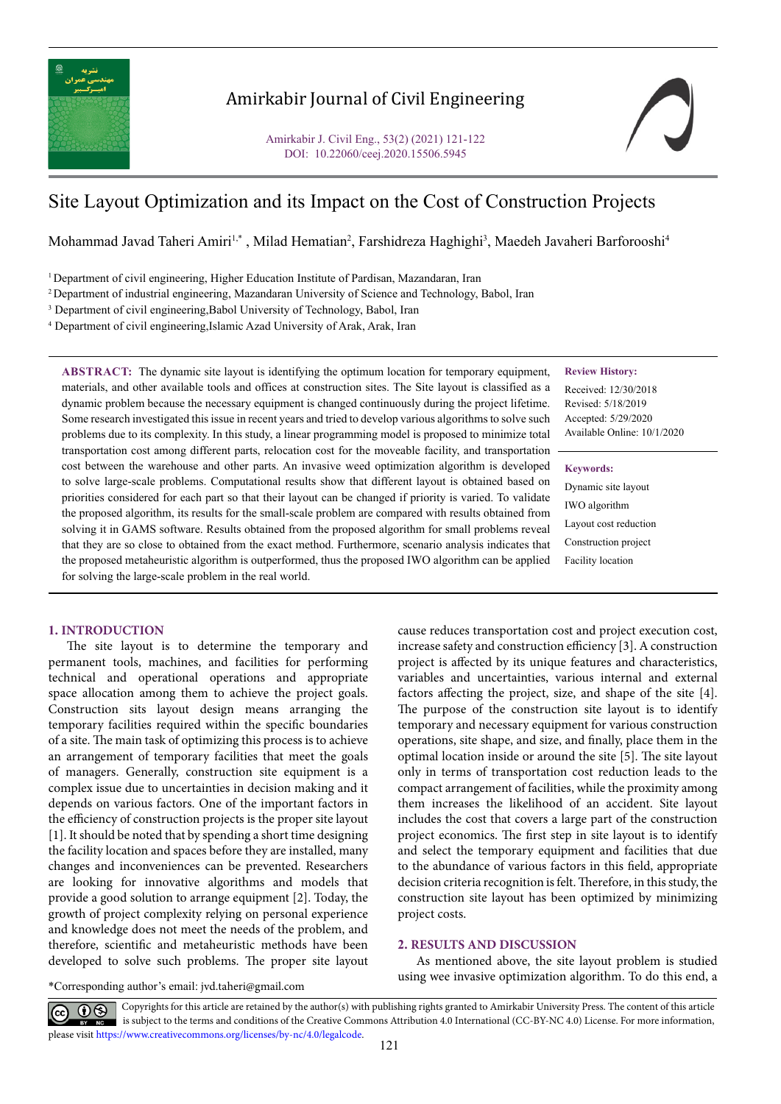

# Amirkabir Journal of Civil Engineering

Amirkabir J. Civil Eng., 53(2) (2021) 121-122 DOI: 10.22060/ceej.2020.15506.5945

# Site Layout Optimization and its Impact on the Cost of Construction Projects

Mohammad Javad Taheri Amiri<sup>1,\*</sup> , Milad Hematian<sup>2</sup>, Farshidreza Haghighi<sup>3</sup>, Maedeh Javaheri Barforooshi<sup>4</sup>

<sup>1</sup> Department of civil engineering, Higher Education Institute of Pardisan, Mazandaran, Iran

2 Department of industrial engineering, Mazandaran University of Science and Technology, Babol, Iran

<sup>3</sup> Department of civil engineering, Babol University of Technology, Babol, Iran

4 Department of civil engineering,Islamic Azad University of Arak, Arak, Iran

## **Review History:**

Received: 12/30/2018 Revised: 5/18/2019 Accepted: 5/29/2020 Available Online: 10/1/2020

#### **Keywords:**

Dynamic site layout IWO algorithm Layout cost reduction Construction project Facility location

materials, and other available tools and offices at construction sites. The Site layout is classified as a dynamic problem because the necessary equipment is changed continuously during the project lifetime. Some research investigated this issue in recent years and tried to develop various algorithms to solve such problems due to its complexity. In this study, a linear programming model is proposed to minimize total transportation cost among different parts, relocation cost for the moveable facility, and transportation cost between the warehouse and other parts. An invasive weed optimization algorithm is developed to solve large-scale problems. Computational results show that different layout is obtained based on priorities considered for each part so that their layout can be changed if priority is varied. To validate the proposed algorithm, its results for the small-scale problem are compared with results obtained from solving it in GAMS software. Results obtained from the proposed algorithm for small problems reveal that they are so close to obtained from the exact method. Furthermore, scenario analysis indicates that the proposed metaheuristic algorithm is outperformed, thus the proposed IWO algorithm can be applied for solving the large-scale problem in the real world.

**ABSTRACT:** The dynamic site layout is identifying the optimum location for temporary equipment,

## **1. INTRODUCTION**

The site layout is to determine the temporary and permanent tools, machines, and facilities for performing technical and operational operations and appropriate space allocation among them to achieve the project goals. Construction sits layout design means arranging the temporary facilities required within the specific boundaries of a site. The main task of optimizing this process is to achieve an arrangement of temporary facilities that meet the goals of managers. Generally, construction site equipment is a complex issue due to uncertainties in decision making and it depends on various factors. One of the important factors in the efficiency of construction projects is the proper site layout [1]. It should be noted that by spending a short time designing the facility location and spaces before they are installed, many changes and inconveniences can be prevented. Researchers are looking for innovative algorithms and models that provide a good solution to arrange equipment [2]. Today, the growth of project complexity relying on personal experience and knowledge does not meet the needs of the problem, and therefore, scientific and metaheuristic methods have been developed to solve such problems. The proper site layout cause reduces transportation cost and project execution cost, increase safety and construction efficiency [3]. A construction project is affected by its unique features and characteristics, variables and uncertainties, various internal and external factors affecting the project, size, and shape of the site [4]. The purpose of the construction site layout is to identify temporary and necessary equipment for various construction operations, site shape, and size, and finally, place them in the optimal location inside or around the site [5]. The site layout only in terms of transportation cost reduction leads to the compact arrangement of facilities, while the proximity among them increases the likelihood of an accident. Site layout includes the cost that covers a large part of the construction project economics. The first step in site layout is to identify and select the temporary equipment and facilities that due to the abundance of various factors in this field, appropriate decision criteria recognition is felt. Therefore, in this study, the construction site layout has been optimized by minimizing project costs.

#### **2. RESULTS AND DISCUSSION**

As mentioned above, the site layout problem is studied using wee invasive optimization algorithm. To do this end, a

\*Corresponding author's email: jvd.taheri@gmail.com

Copyrights for this article are retained by the author(s) with publishing rights granted to Amirkabir University Press. The content of this article is subject to the terms and conditions of the Creative Commons Attribution 4.0 International (CC-BY-NC 4.0) License. For more information, please visit https://www.creativecommons.org/licenses/by-nc/4.0/legalcode.